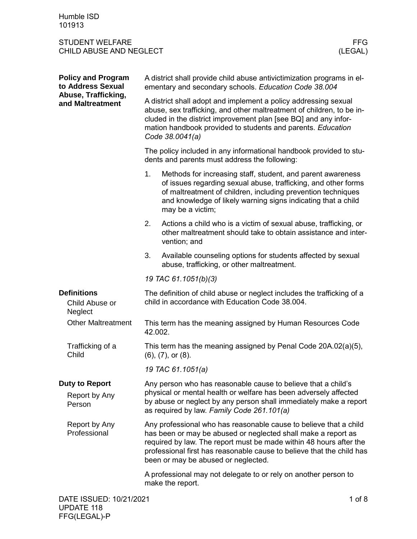| Humble ISD |  |
|------------|--|
| 101913     |  |

UPDATE 118 FFG(LEGAL)-P

| <b>Policy and Program</b><br>to Address Sexual   | A district shall provide child abuse antivictimization programs in el-<br>ementary and secondary schools. Education Code 38.004                                                                                                                                                               |                                                                                                                                                                                                                                                                                                                          |  |  |
|--------------------------------------------------|-----------------------------------------------------------------------------------------------------------------------------------------------------------------------------------------------------------------------------------------------------------------------------------------------|--------------------------------------------------------------------------------------------------------------------------------------------------------------------------------------------------------------------------------------------------------------------------------------------------------------------------|--|--|
| Abuse, Trafficking,<br>and Maltreatment          | A district shall adopt and implement a policy addressing sexual<br>abuse, sex trafficking, and other maltreatment of children, to be in-<br>cluded in the district improvement plan [see BQ] and any infor-<br>mation handbook provided to students and parents. Education<br>Code 38.0041(a) |                                                                                                                                                                                                                                                                                                                          |  |  |
|                                                  | The policy included in any informational handbook provided to stu-<br>dents and parents must address the following:                                                                                                                                                                           |                                                                                                                                                                                                                                                                                                                          |  |  |
|                                                  | 1.                                                                                                                                                                                                                                                                                            | Methods for increasing staff, student, and parent awareness<br>of issues regarding sexual abuse, trafficking, and other forms<br>of maltreatment of children, including prevention techniques<br>and knowledge of likely warning signs indicating that a child<br>may be a victim;                                       |  |  |
|                                                  | 2.                                                                                                                                                                                                                                                                                            | Actions a child who is a victim of sexual abuse, trafficking, or<br>other maltreatment should take to obtain assistance and inter-<br>vention; and                                                                                                                                                                       |  |  |
|                                                  | 3.                                                                                                                                                                                                                                                                                            | Available counseling options for students affected by sexual<br>abuse, trafficking, or other maltreatment.                                                                                                                                                                                                               |  |  |
|                                                  | 19 TAC 61.1051(b)(3)                                                                                                                                                                                                                                                                          |                                                                                                                                                                                                                                                                                                                          |  |  |
|                                                  |                                                                                                                                                                                                                                                                                               |                                                                                                                                                                                                                                                                                                                          |  |  |
| <b>Definitions</b><br>Child Abuse or<br>Neglect  |                                                                                                                                                                                                                                                                                               | The definition of child abuse or neglect includes the trafficking of a<br>child in accordance with Education Code 38.004.                                                                                                                                                                                                |  |  |
| <b>Other Maltreatment</b>                        | 42.002.                                                                                                                                                                                                                                                                                       | This term has the meaning assigned by Human Resources Code                                                                                                                                                                                                                                                               |  |  |
| Trafficking of a<br>Child                        |                                                                                                                                                                                                                                                                                               | This term has the meaning assigned by Penal Code 20A.02(a)(5),<br>$(6)$ , $(7)$ , or $(8)$ .                                                                                                                                                                                                                             |  |  |
|                                                  |                                                                                                                                                                                                                                                                                               | 19 TAC 61.1051(a)                                                                                                                                                                                                                                                                                                        |  |  |
| <b>Duty to Report</b><br>Report by Any<br>Person |                                                                                                                                                                                                                                                                                               | Any person who has reasonable cause to believe that a child's<br>physical or mental health or welfare has been adversely affected<br>by abuse or neglect by any person shall immediately make a report<br>as required by law. Family Code 261.101(a)                                                                     |  |  |
| Report by Any<br>Professional                    |                                                                                                                                                                                                                                                                                               | Any professional who has reasonable cause to believe that a child<br>has been or may be abused or neglected shall make a report as<br>required by law. The report must be made within 48 hours after the<br>professional first has reasonable cause to believe that the child has<br>been or may be abused or neglected. |  |  |
|                                                  |                                                                                                                                                                                                                                                                                               | A professional may not delegate to or rely on another person to<br>make the report.                                                                                                                                                                                                                                      |  |  |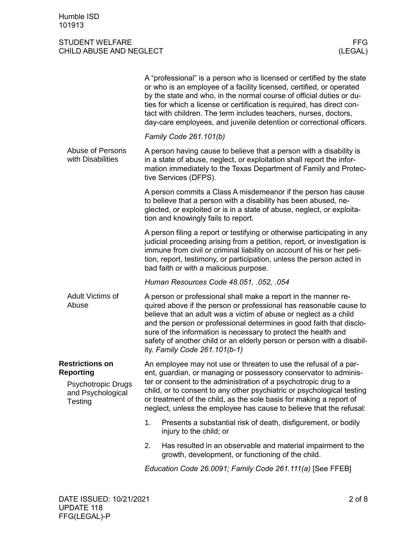| Family Code 261.101(b)<br>Abuse of Persons<br>A person having cause to believe that a person with a disability is<br>with Disabilities<br>in a state of abuse, neglect, or exploitation shall report the infor-<br>mation immediately to the Texas Department of Family and Protec-<br>tive Services (DFPS).<br>A person commits a Class A misdemeanor if the person has cause<br>to believe that a person with a disability has been abused, ne-<br>glected, or exploited or is in a state of abuse, neglect, or exploita-<br>tion and knowingly fails to report.<br>A person filing a report or testifying or otherwise participating in any<br>judicial proceeding arising from a petition, report, or investigation is<br>immune from civil or criminal liability on account of his or her peti-<br>tion, report, testimony, or participation, unless the person acted in<br>bad faith or with a malicious purpose.<br>Human Resources Code 48.051, .052, .054<br>Adult Victims of<br>A person or professional shall make a report in the manner re-<br>Abuse<br>quired above if the person or professional has reasonable cause to<br>believe that an adult was a victim of abuse or neglect as a child<br>and the person or professional determines in good faith that disclo-<br>sure of the information is necessary to protect the health and<br>safety of another child or an elderly person or person with a disabil-<br>ity. Family Code 261.101(b-1)<br><b>Restrictions on</b><br>An employee may not use or threaten to use the refusal of a par-<br><b>Reporting</b><br>ent, guardian, or managing or possessory conservator to adminis-<br>ter or consent to the administration of a psychotropic drug to a<br>Psychotropic Drugs<br>child, or to consent to any other psychiatric or psychological testing<br>and Psychological<br>or treatment of the child, as the sole basis for making a report of<br>Testing<br>neglect, unless the employee has cause to believe that the refusal:<br>1.<br>Presents a substantial risk of death, disfigurement, or bodily<br>injury to the child; or<br>Has resulted in an observable and material impairment to the<br>2.<br>growth, development, or functioning of the child. | A "professional" is a person who is licensed or certified by the state<br>or who is an employee of a facility licensed, certified, or operated<br>by the state and who, in the normal course of official duties or du-<br>ties for which a license or certification is required, has direct con-<br>tact with children. The term includes teachers, nurses, doctors,<br>day-care employees, and juvenile detention or correctional officers. |
|-----------------------------------------------------------------------------------------------------------------------------------------------------------------------------------------------------------------------------------------------------------------------------------------------------------------------------------------------------------------------------------------------------------------------------------------------------------------------------------------------------------------------------------------------------------------------------------------------------------------------------------------------------------------------------------------------------------------------------------------------------------------------------------------------------------------------------------------------------------------------------------------------------------------------------------------------------------------------------------------------------------------------------------------------------------------------------------------------------------------------------------------------------------------------------------------------------------------------------------------------------------------------------------------------------------------------------------------------------------------------------------------------------------------------------------------------------------------------------------------------------------------------------------------------------------------------------------------------------------------------------------------------------------------------------------------------------------------------------------------------------------------------------------------------------------------------------------------------------------------------------------------------------------------------------------------------------------------------------------------------------------------------------------------------------------------------------------------------------------------------------------------------------------------------------------------------------------------------------------------|----------------------------------------------------------------------------------------------------------------------------------------------------------------------------------------------------------------------------------------------------------------------------------------------------------------------------------------------------------------------------------------------------------------------------------------------|
|                                                                                                                                                                                                                                                                                                                                                                                                                                                                                                                                                                                                                                                                                                                                                                                                                                                                                                                                                                                                                                                                                                                                                                                                                                                                                                                                                                                                                                                                                                                                                                                                                                                                                                                                                                                                                                                                                                                                                                                                                                                                                                                                                                                                                                         |                                                                                                                                                                                                                                                                                                                                                                                                                                              |
|                                                                                                                                                                                                                                                                                                                                                                                                                                                                                                                                                                                                                                                                                                                                                                                                                                                                                                                                                                                                                                                                                                                                                                                                                                                                                                                                                                                                                                                                                                                                                                                                                                                                                                                                                                                                                                                                                                                                                                                                                                                                                                                                                                                                                                         |                                                                                                                                                                                                                                                                                                                                                                                                                                              |
|                                                                                                                                                                                                                                                                                                                                                                                                                                                                                                                                                                                                                                                                                                                                                                                                                                                                                                                                                                                                                                                                                                                                                                                                                                                                                                                                                                                                                                                                                                                                                                                                                                                                                                                                                                                                                                                                                                                                                                                                                                                                                                                                                                                                                                         |                                                                                                                                                                                                                                                                                                                                                                                                                                              |
|                                                                                                                                                                                                                                                                                                                                                                                                                                                                                                                                                                                                                                                                                                                                                                                                                                                                                                                                                                                                                                                                                                                                                                                                                                                                                                                                                                                                                                                                                                                                                                                                                                                                                                                                                                                                                                                                                                                                                                                                                                                                                                                                                                                                                                         |                                                                                                                                                                                                                                                                                                                                                                                                                                              |
|                                                                                                                                                                                                                                                                                                                                                                                                                                                                                                                                                                                                                                                                                                                                                                                                                                                                                                                                                                                                                                                                                                                                                                                                                                                                                                                                                                                                                                                                                                                                                                                                                                                                                                                                                                                                                                                                                                                                                                                                                                                                                                                                                                                                                                         |                                                                                                                                                                                                                                                                                                                                                                                                                                              |
|                                                                                                                                                                                                                                                                                                                                                                                                                                                                                                                                                                                                                                                                                                                                                                                                                                                                                                                                                                                                                                                                                                                                                                                                                                                                                                                                                                                                                                                                                                                                                                                                                                                                                                                                                                                                                                                                                                                                                                                                                                                                                                                                                                                                                                         |                                                                                                                                                                                                                                                                                                                                                                                                                                              |
|                                                                                                                                                                                                                                                                                                                                                                                                                                                                                                                                                                                                                                                                                                                                                                                                                                                                                                                                                                                                                                                                                                                                                                                                                                                                                                                                                                                                                                                                                                                                                                                                                                                                                                                                                                                                                                                                                                                                                                                                                                                                                                                                                                                                                                         |                                                                                                                                                                                                                                                                                                                                                                                                                                              |
|                                                                                                                                                                                                                                                                                                                                                                                                                                                                                                                                                                                                                                                                                                                                                                                                                                                                                                                                                                                                                                                                                                                                                                                                                                                                                                                                                                                                                                                                                                                                                                                                                                                                                                                                                                                                                                                                                                                                                                                                                                                                                                                                                                                                                                         |                                                                                                                                                                                                                                                                                                                                                                                                                                              |
|                                                                                                                                                                                                                                                                                                                                                                                                                                                                                                                                                                                                                                                                                                                                                                                                                                                                                                                                                                                                                                                                                                                                                                                                                                                                                                                                                                                                                                                                                                                                                                                                                                                                                                                                                                                                                                                                                                                                                                                                                                                                                                                                                                                                                                         |                                                                                                                                                                                                                                                                                                                                                                                                                                              |
| Education Code 26.0091; Family Code 261.111(a) [See FFEB]                                                                                                                                                                                                                                                                                                                                                                                                                                                                                                                                                                                                                                                                                                                                                                                                                                                                                                                                                                                                                                                                                                                                                                                                                                                                                                                                                                                                                                                                                                                                                                                                                                                                                                                                                                                                                                                                                                                                                                                                                                                                                                                                                                               |                                                                                                                                                                                                                                                                                                                                                                                                                                              |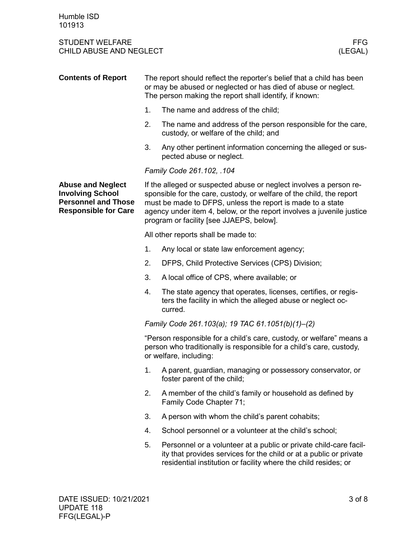| <b>Contents of Report</b>                                                                                        | The report should reflect the reporter's belief that a child has been<br>or may be abused or neglected or has died of abuse or neglect.<br>The person making the report shall identify, if known: |                                                                                                                                                                                                                                                                                                                               |  |
|------------------------------------------------------------------------------------------------------------------|---------------------------------------------------------------------------------------------------------------------------------------------------------------------------------------------------|-------------------------------------------------------------------------------------------------------------------------------------------------------------------------------------------------------------------------------------------------------------------------------------------------------------------------------|--|
|                                                                                                                  | 1.                                                                                                                                                                                                | The name and address of the child;                                                                                                                                                                                                                                                                                            |  |
|                                                                                                                  | 2.                                                                                                                                                                                                | The name and address of the person responsible for the care,<br>custody, or welfare of the child; and                                                                                                                                                                                                                         |  |
|                                                                                                                  | 3.                                                                                                                                                                                                | Any other pertinent information concerning the alleged or sus-<br>pected abuse or neglect.                                                                                                                                                                                                                                    |  |
|                                                                                                                  |                                                                                                                                                                                                   | Family Code 261.102, .104                                                                                                                                                                                                                                                                                                     |  |
| <b>Abuse and Neglect</b><br><b>Involving School</b><br><b>Personnel and Those</b><br><b>Responsible for Care</b> |                                                                                                                                                                                                   | If the alleged or suspected abuse or neglect involves a person re-<br>sponsible for the care, custody, or welfare of the child, the report<br>must be made to DFPS, unless the report is made to a state<br>agency under item 4, below, or the report involves a juvenile justice<br>program or facility [see JJAEPS, below]. |  |
|                                                                                                                  |                                                                                                                                                                                                   | All other reports shall be made to:                                                                                                                                                                                                                                                                                           |  |
|                                                                                                                  | 1.                                                                                                                                                                                                | Any local or state law enforcement agency;                                                                                                                                                                                                                                                                                    |  |
|                                                                                                                  | 2.                                                                                                                                                                                                | DFPS, Child Protective Services (CPS) Division;                                                                                                                                                                                                                                                                               |  |
|                                                                                                                  | 3.                                                                                                                                                                                                | A local office of CPS, where available; or                                                                                                                                                                                                                                                                                    |  |
|                                                                                                                  | 4.                                                                                                                                                                                                | The state agency that operates, licenses, certifies, or regis-<br>ters the facility in which the alleged abuse or neglect oc-<br>curred.                                                                                                                                                                                      |  |
|                                                                                                                  |                                                                                                                                                                                                   | Family Code 261.103(a); 19 TAC 61.1051(b)(1)-(2)                                                                                                                                                                                                                                                                              |  |
|                                                                                                                  |                                                                                                                                                                                                   | "Person responsible for a child's care, custody, or welfare" means a<br>person who traditionally is responsible for a child's care, custody,<br>or welfare, including:                                                                                                                                                        |  |
|                                                                                                                  |                                                                                                                                                                                                   | 1. A parent, guardian, managing or possessory conservator, or<br>foster parent of the child;                                                                                                                                                                                                                                  |  |
|                                                                                                                  | 2.                                                                                                                                                                                                | A member of the child's family or household as defined by<br>Family Code Chapter 71;                                                                                                                                                                                                                                          |  |
|                                                                                                                  | 3.                                                                                                                                                                                                | A person with whom the child's parent cohabits;                                                                                                                                                                                                                                                                               |  |
|                                                                                                                  | 4.                                                                                                                                                                                                | School personnel or a volunteer at the child's school;                                                                                                                                                                                                                                                                        |  |
|                                                                                                                  | 5.                                                                                                                                                                                                | Personnel or a volunteer at a public or private child-care facil-<br>ity that provides services for the child or at a public or private<br>residential institution or facility where the child resides; or                                                                                                                    |  |
|                                                                                                                  |                                                                                                                                                                                                   |                                                                                                                                                                                                                                                                                                                               |  |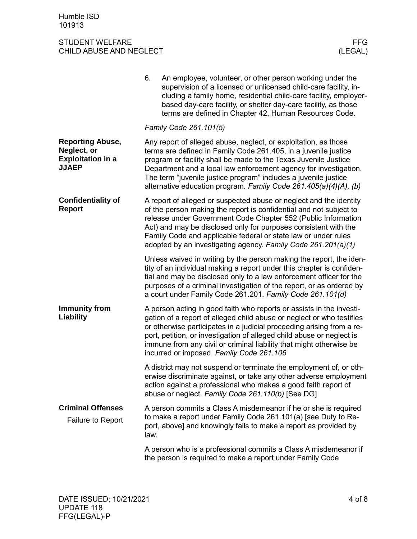|                                                                                    | 6.                                                                                                                                                                                                                                                                                                                                                                                                               | An employee, volunteer, or other person working under the<br>supervision of a licensed or unlicensed child-care facility, in-<br>cluding a family home, residential child-care facility, employer-<br>based day-care facility, or shelter day-care facility, as those<br>terms are defined in Chapter 42, Human Resources Code.                                                                                    |  |
|------------------------------------------------------------------------------------|------------------------------------------------------------------------------------------------------------------------------------------------------------------------------------------------------------------------------------------------------------------------------------------------------------------------------------------------------------------------------------------------------------------|--------------------------------------------------------------------------------------------------------------------------------------------------------------------------------------------------------------------------------------------------------------------------------------------------------------------------------------------------------------------------------------------------------------------|--|
|                                                                                    |                                                                                                                                                                                                                                                                                                                                                                                                                  | Family Code 261.101(5)                                                                                                                                                                                                                                                                                                                                                                                             |  |
| <b>Reporting Abuse,</b><br>Neglect, or<br><b>Exploitation in a</b><br><b>JJAEP</b> | Any report of alleged abuse, neglect, or exploitation, as those<br>terms are defined in Family Code 261.405, in a juvenile justice<br>program or facility shall be made to the Texas Juvenile Justice<br>Department and a local law enforcement agency for investigation.<br>The term "juvenile justice program" includes a juvenile justice<br>alternative education program. Family Code 261.405(a)(4)(A), (b) |                                                                                                                                                                                                                                                                                                                                                                                                                    |  |
| <b>Confidentiality of</b><br><b>Report</b>                                         | A report of alleged or suspected abuse or neglect and the identity<br>of the person making the report is confidential and not subject to<br>release under Government Code Chapter 552 (Public Information<br>Act) and may be disclosed only for purposes consistent with the<br>Family Code and applicable federal or state law or under rules<br>adopted by an investigating agency. Family Code 261.201(a)(1)  |                                                                                                                                                                                                                                                                                                                                                                                                                    |  |
|                                                                                    |                                                                                                                                                                                                                                                                                                                                                                                                                  | Unless waived in writing by the person making the report, the iden-<br>tity of an individual making a report under this chapter is confiden-<br>tial and may be disclosed only to a law enforcement officer for the<br>purposes of a criminal investigation of the report, or as ordered by<br>a court under Family Code 261.201. Family Code 261.101(d)                                                           |  |
| <b>Immunity from</b><br>Liability                                                  |                                                                                                                                                                                                                                                                                                                                                                                                                  | A person acting in good faith who reports or assists in the investi-<br>gation of a report of alleged child abuse or neglect or who testifies<br>or otherwise participates in a judicial proceeding arising from a re-<br>port, petition, or investigation of alleged child abuse or neglect is<br>immune from any civil or criminal liability that might otherwise be<br>incurred or imposed. Family Code 261.106 |  |
|                                                                                    |                                                                                                                                                                                                                                                                                                                                                                                                                  | A district may not suspend or terminate the employment of, or oth-<br>erwise discriminate against, or take any other adverse employment<br>action against a professional who makes a good faith report of<br>abuse or neglect. Family Code 261.110(b) [See DG]                                                                                                                                                     |  |
| <b>Criminal Offenses</b><br>Failure to Report                                      | law.                                                                                                                                                                                                                                                                                                                                                                                                             | A person commits a Class A misdemeanor if he or she is required<br>to make a report under Family Code 261.101(a) [see Duty to Re-<br>port, above] and knowingly fails to make a report as provided by                                                                                                                                                                                                              |  |
|                                                                                    |                                                                                                                                                                                                                                                                                                                                                                                                                  | A person who is a professional commits a Class A misdemeanor if<br>the person is required to make a report under Family Code                                                                                                                                                                                                                                                                                       |  |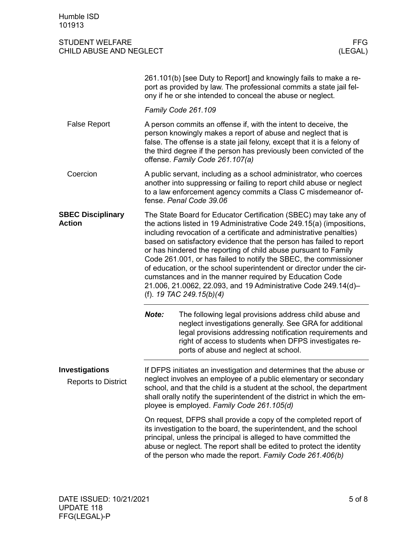|                                                     |                                                                                                                                                                                                                                                                                                                       | 261.101(b) [see Duty to Report] and knowingly fails to make a re-<br>port as provided by law. The professional commits a state jail fel-<br>ony if he or she intended to conceal the abuse or neglect.                                                                                                                                                                                                                                                                                                                                                                                                                                                           |  |  |
|-----------------------------------------------------|-----------------------------------------------------------------------------------------------------------------------------------------------------------------------------------------------------------------------------------------------------------------------------------------------------------------------|------------------------------------------------------------------------------------------------------------------------------------------------------------------------------------------------------------------------------------------------------------------------------------------------------------------------------------------------------------------------------------------------------------------------------------------------------------------------------------------------------------------------------------------------------------------------------------------------------------------------------------------------------------------|--|--|
|                                                     |                                                                                                                                                                                                                                                                                                                       | Family Code 261.109                                                                                                                                                                                                                                                                                                                                                                                                                                                                                                                                                                                                                                              |  |  |
| <b>False Report</b>                                 | A person commits an offense if, with the intent to deceive, the<br>person knowingly makes a report of abuse and neglect that is<br>false. The offense is a state jail felony, except that it is a felony of<br>the third degree if the person has previously been convicted of the<br>offense. Family Code 261.107(a) |                                                                                                                                                                                                                                                                                                                                                                                                                                                                                                                                                                                                                                                                  |  |  |
| Coercion                                            |                                                                                                                                                                                                                                                                                                                       | A public servant, including as a school administrator, who coerces<br>another into suppressing or failing to report child abuse or neglect<br>to a law enforcement agency commits a Class C misdemeanor of-<br>fense. Penal Code 39.06                                                                                                                                                                                                                                                                                                                                                                                                                           |  |  |
| <b>SBEC Disciplinary</b><br>Action                  |                                                                                                                                                                                                                                                                                                                       | The State Board for Educator Certification (SBEC) may take any of<br>the actions listed in 19 Administrative Code 249.15(a) (impositions,<br>including revocation of a certificate and administrative penalties)<br>based on satisfactory evidence that the person has failed to report<br>or has hindered the reporting of child abuse pursuant to Family<br>Code 261.001, or has failed to notify the SBEC, the commissioner<br>of education, or the school superintendent or director under the cir-<br>cumstances and in the manner required by Education Code<br>21.006, 21.0062, 22.093, and 19 Administrative Code 249.14(d)-<br>(f). 19 TAC 249.15(b)(4) |  |  |
|                                                     | Note:                                                                                                                                                                                                                                                                                                                 | The following legal provisions address child abuse and<br>neglect investigations generally. See GRA for additional<br>legal provisions addressing notification requirements and<br>right of access to students when DFPS investigates re-<br>ports of abuse and neglect at school.                                                                                                                                                                                                                                                                                                                                                                               |  |  |
| <b>Investigations</b><br><b>Reports to District</b> |                                                                                                                                                                                                                                                                                                                       | If DFPS initiates an investigation and determines that the abuse or<br>neglect involves an employee of a public elementary or secondary<br>school, and that the child is a student at the school, the department<br>shall orally notify the superintendent of the district in which the em-<br>ployee is employed. Family Code 261.105(d)                                                                                                                                                                                                                                                                                                                        |  |  |
|                                                     |                                                                                                                                                                                                                                                                                                                       | On request, DFPS shall provide a copy of the completed report of<br>its investigation to the board, the superintendent, and the school<br>principal, unless the principal is alleged to have committed the<br>abuse or neglect. The report shall be edited to protect the identity<br>of the person who made the report. Family Code 261.406(b)                                                                                                                                                                                                                                                                                                                  |  |  |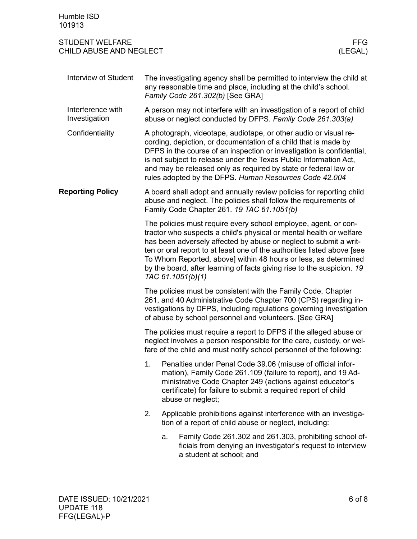| Humble ISD<br>101913                              |                                                                                                                                                                                                                                                                                                                                                                                                                                                                                                                                                                                                                                                                                                                                                                                                                                                                                                                                                     |                                                                                                                                                                                                                                                                                |  |  |
|---------------------------------------------------|-----------------------------------------------------------------------------------------------------------------------------------------------------------------------------------------------------------------------------------------------------------------------------------------------------------------------------------------------------------------------------------------------------------------------------------------------------------------------------------------------------------------------------------------------------------------------------------------------------------------------------------------------------------------------------------------------------------------------------------------------------------------------------------------------------------------------------------------------------------------------------------------------------------------------------------------------------|--------------------------------------------------------------------------------------------------------------------------------------------------------------------------------------------------------------------------------------------------------------------------------|--|--|
| <b>STUDENT WELFARE</b><br>CHILD ABUSE AND NEGLECT |                                                                                                                                                                                                                                                                                                                                                                                                                                                                                                                                                                                                                                                                                                                                                                                                                                                                                                                                                     | <b>FFG</b><br>(LEGAL)                                                                                                                                                                                                                                                          |  |  |
| <b>Interview of Student</b>                       | The investigating agency shall be permitted to interview the child at<br>any reasonable time and place, including at the child's school.<br>Family Code 261.302(b) [See GRA]                                                                                                                                                                                                                                                                                                                                                                                                                                                                                                                                                                                                                                                                                                                                                                        |                                                                                                                                                                                                                                                                                |  |  |
| Interference with<br>Investigation                | A person may not interfere with an investigation of a report of child<br>abuse or neglect conducted by DFPS. Family Code 261.303(a)                                                                                                                                                                                                                                                                                                                                                                                                                                                                                                                                                                                                                                                                                                                                                                                                                 |                                                                                                                                                                                                                                                                                |  |  |
| Confidentiality                                   | A photograph, videotape, audiotape, or other audio or visual re-<br>cording, depiction, or documentation of a child that is made by<br>DFPS in the course of an inspection or investigation is confidential,<br>is not subject to release under the Texas Public Information Act,<br>and may be released only as required by state or federal law or<br>rules adopted by the DFPS. Human Resources Code 42.004                                                                                                                                                                                                                                                                                                                                                                                                                                                                                                                                      |                                                                                                                                                                                                                                                                                |  |  |
| <b>Reporting Policy</b>                           |                                                                                                                                                                                                                                                                                                                                                                                                                                                                                                                                                                                                                                                                                                                                                                                                                                                                                                                                                     | A board shall adopt and annually review policies for reporting child<br>abuse and neglect. The policies shall follow the requirements of<br>Family Code Chapter 261. 19 TAC 61.1051(b)                                                                                         |  |  |
|                                                   | The policies must require every school employee, agent, or con-<br>tractor who suspects a child's physical or mental health or welfare<br>has been adversely affected by abuse or neglect to submit a writ-<br>ten or oral report to at least one of the authorities listed above [see<br>To Whom Reported, above] within 48 hours or less, as determined<br>by the board, after learning of facts giving rise to the suspicion. 19<br>TAC 61.1051(b)(1)<br>The policies must be consistent with the Family Code, Chapter<br>261, and 40 Administrative Code Chapter 700 (CPS) regarding in-<br>vestigations by DFPS, including regulations governing investigation<br>of abuse by school personnel and volunteers. [See GRA]<br>The policies must require a report to DFPS if the alleged abuse or<br>neglect involves a person responsible for the care, custody, or wel-<br>fare of the child and must notify school personnel of the following: |                                                                                                                                                                                                                                                                                |  |  |
|                                                   |                                                                                                                                                                                                                                                                                                                                                                                                                                                                                                                                                                                                                                                                                                                                                                                                                                                                                                                                                     |                                                                                                                                                                                                                                                                                |  |  |
|                                                   |                                                                                                                                                                                                                                                                                                                                                                                                                                                                                                                                                                                                                                                                                                                                                                                                                                                                                                                                                     |                                                                                                                                                                                                                                                                                |  |  |
|                                                   | 1.                                                                                                                                                                                                                                                                                                                                                                                                                                                                                                                                                                                                                                                                                                                                                                                                                                                                                                                                                  | Penalties under Penal Code 39.06 (misuse of official infor-<br>mation), Family Code 261.109 (failure to report), and 19 Ad-<br>ministrative Code Chapter 249 (actions against educator's<br>certificate) for failure to submit a required report of child<br>abuse or neglect; |  |  |
|                                                   | 2.                                                                                                                                                                                                                                                                                                                                                                                                                                                                                                                                                                                                                                                                                                                                                                                                                                                                                                                                                  | Applicable prohibitions against interference with an investiga-<br>tion of a report of child abuse or neglect, including:                                                                                                                                                      |  |  |
|                                                   |                                                                                                                                                                                                                                                                                                                                                                                                                                                                                                                                                                                                                                                                                                                                                                                                                                                                                                                                                     | Family Code 261.302 and 261.303, prohibiting school of-<br>a.<br>ficials from denying an investigator's request to interview<br>a student at school; and                                                                                                                       |  |  |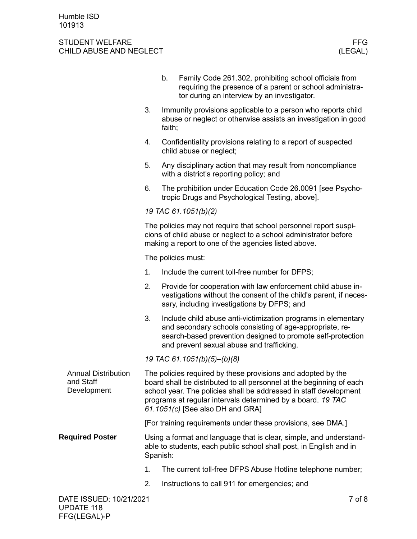|                                                        |                                                                                                                                                                                                                                                                                                              | b.                                                                                                                                       | Family Code 261.302, prohibiting school officials from<br>requiring the presence of a parent or school administra-<br>tor during an interview by an investigator.                                                                     |  |  |
|--------------------------------------------------------|--------------------------------------------------------------------------------------------------------------------------------------------------------------------------------------------------------------------------------------------------------------------------------------------------------------|------------------------------------------------------------------------------------------------------------------------------------------|---------------------------------------------------------------------------------------------------------------------------------------------------------------------------------------------------------------------------------------|--|--|
|                                                        | 3.                                                                                                                                                                                                                                                                                                           | Immunity provisions applicable to a person who reports child<br>abuse or neglect or otherwise assists an investigation in good<br>faith; |                                                                                                                                                                                                                                       |  |  |
|                                                        | 4.                                                                                                                                                                                                                                                                                                           |                                                                                                                                          | Confidentiality provisions relating to a report of suspected<br>child abuse or neglect;                                                                                                                                               |  |  |
|                                                        | 5.                                                                                                                                                                                                                                                                                                           |                                                                                                                                          | Any disciplinary action that may result from noncompliance<br>with a district's reporting policy; and                                                                                                                                 |  |  |
|                                                        | 6.                                                                                                                                                                                                                                                                                                           |                                                                                                                                          | The prohibition under Education Code 26.0091 [see Psycho-<br>tropic Drugs and Psychological Testing, above].                                                                                                                          |  |  |
|                                                        | 19 TAC 61.1051(b)(2)                                                                                                                                                                                                                                                                                         |                                                                                                                                          |                                                                                                                                                                                                                                       |  |  |
|                                                        | The policies may not require that school personnel report suspi-<br>cions of child abuse or neglect to a school administrator before<br>making a report to one of the agencies listed above.                                                                                                                 |                                                                                                                                          |                                                                                                                                                                                                                                       |  |  |
|                                                        |                                                                                                                                                                                                                                                                                                              |                                                                                                                                          | The policies must:                                                                                                                                                                                                                    |  |  |
|                                                        | 1.                                                                                                                                                                                                                                                                                                           |                                                                                                                                          | Include the current toll-free number for DFPS;                                                                                                                                                                                        |  |  |
|                                                        | 2.                                                                                                                                                                                                                                                                                                           |                                                                                                                                          | Provide for cooperation with law enforcement child abuse in-<br>vestigations without the consent of the child's parent, if neces-<br>sary, including investigations by DFPS; and                                                      |  |  |
|                                                        | 3.                                                                                                                                                                                                                                                                                                           |                                                                                                                                          | Include child abuse anti-victimization programs in elementary<br>and secondary schools consisting of age-appropriate, re-<br>search-based prevention designed to promote self-protection<br>and prevent sexual abuse and trafficking. |  |  |
|                                                        |                                                                                                                                                                                                                                                                                                              |                                                                                                                                          | 19 TAC 61.1051(b)(5)-(b)(8)                                                                                                                                                                                                           |  |  |
| <b>Annual Distribution</b><br>and Staff<br>Development | The policies required by these provisions and adopted by the<br>board shall be distributed to all personnel at the beginning of each<br>school year. The policies shall be addressed in staff development<br>programs at regular intervals determined by a board. 19 TAC<br>61.1051(c) [See also DH and GRA] |                                                                                                                                          |                                                                                                                                                                                                                                       |  |  |
|                                                        |                                                                                                                                                                                                                                                                                                              |                                                                                                                                          | [For training requirements under these provisions, see DMA.]                                                                                                                                                                          |  |  |
| <b>Required Poster</b>                                 | Using a format and language that is clear, simple, and understand-<br>able to students, each public school shall post, in English and in<br>Spanish:                                                                                                                                                         |                                                                                                                                          |                                                                                                                                                                                                                                       |  |  |
|                                                        | 1.                                                                                                                                                                                                                                                                                                           |                                                                                                                                          | The current toll-free DFPS Abuse Hotline telephone number;                                                                                                                                                                            |  |  |
|                                                        | 2.                                                                                                                                                                                                                                                                                                           |                                                                                                                                          | Instructions to call 911 for emergencies; and                                                                                                                                                                                         |  |  |
| DATE ISSUED: 10/21/2021                                |                                                                                                                                                                                                                                                                                                              |                                                                                                                                          | 7 of 8                                                                                                                                                                                                                                |  |  |